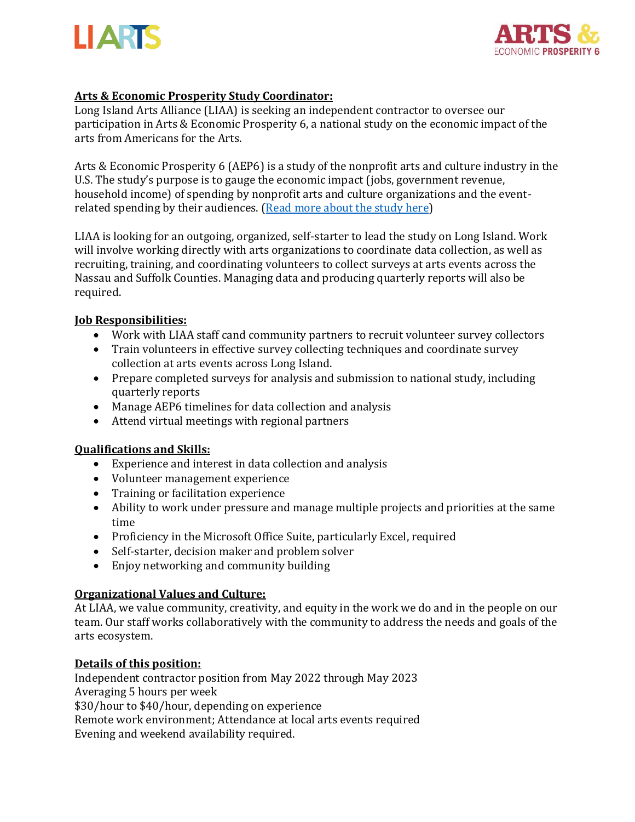



# **Arts & Economic Prosperity Study Coordinator:**

Long Island Arts Alliance (LIAA) is seeking an independent contractor to oversee our participation in Arts & Economic Prosperity 6, a national study on the economic impact of the arts from Americans for the Arts.

Arts & Economic Prosperity 6 (AEP6) is a study of the nonprofit arts and culture industry in the U.S. The study's purpose is to gauge the economic impact (jobs, government revenue, household income) of spending by nonprofit arts and culture organizations and the eventrelated spending by their audiences. [\(Read more about the study here\)](https://www.americansforthearts.org/by-program/reports-and-data/research-studies-publications/arts-economic-prosperity-6)

LIAA is looking for an outgoing, organized, self-starter to lead the study on Long Island. Work will involve working directly with arts organizations to coordinate data collection, as well as recruiting, training, and coordinating volunteers to collect surveys at arts events across the Nassau and Suffolk Counties. Managing data and producing quarterly reports will also be required.

## **Job Responsibilities:**

- Work with LIAA staff cand community partners to recruit volunteer survey collectors
- Train volunteers in effective survey collecting techniques and coordinate survey collection at arts events across Long Island.
- Prepare completed surveys for analysis and submission to national study, including quarterly reports
- Manage AEP6 timelines for data collection and analysis
- Attend virtual meetings with regional partners

## **Qualifications and Skills:**

- Experience and interest in data collection and analysis
- Volunteer management experience
- Training or facilitation experience
- Ability to work under pressure and manage multiple projects and priorities at the same time
- Proficiency in the Microsoft Office Suite, particularly Excel, required
- Self-starter, decision maker and problem solver
- Enjoy networking and community building

## **Organizational Values and Culture:**

At LIAA, we value community, creativity, and equity in the work we do and in the people on our team. Our staff works collaboratively with the community to address the needs and goals of the arts ecosystem.

## **Details of this position:**

Independent contractor position from May 2022 through May 2023 Averaging 5 hours per week \$30/hour to \$40/hour, depending on experience Remote work environment; Attendance at local arts events required Evening and weekend availability required.